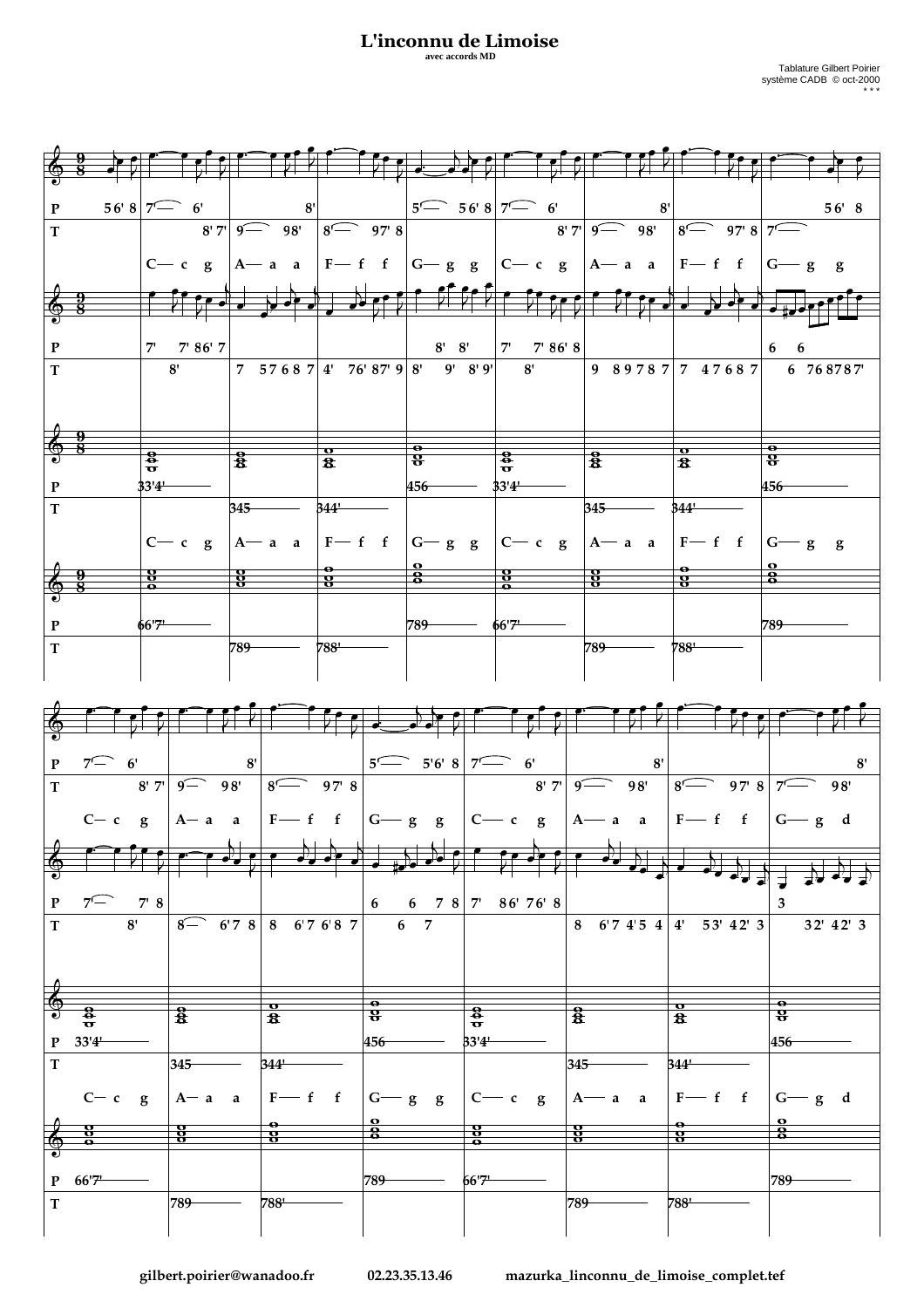## L'inconnu de Limoise

avec accords MD

| $\mathbf{P}$            |                                                                                                                                                    |                         |                                                       |                                    |                         |                    |                                 | $\frac{5}{\sqrt{5}}$ 56' 8 7 6' 6' 8' 7' 9 9 98' 8 97' 8 7 9                                                                                                                                                                                                                                                                            |                         | $56'$ 8                     |
|-------------------------|----------------------------------------------------------------------------------------------------------------------------------------------------|-------------------------|-------------------------------------------------------|------------------------------------|-------------------------|--------------------|---------------------------------|-----------------------------------------------------------------------------------------------------------------------------------------------------------------------------------------------------------------------------------------------------------------------------------------------------------------------------------------|-------------------------|-----------------------------|
| $\overline{T}$          |                                                                                                                                                    |                         |                                                       |                                    |                         |                    |                                 |                                                                                                                                                                                                                                                                                                                                         |                         |                             |
|                         |                                                                                                                                                    |                         |                                                       |                                    |                         |                    |                                 |                                                                                                                                                                                                                                                                                                                                         |                         |                             |
|                         |                                                                                                                                                    |                         |                                                       |                                    |                         |                    |                                 | $C - c$ g $ A - a$ a $ F - f$ f $ G - g$ g $ C - c$ g $ A - a$ a $ F - f$ f                                                                                                                                                                                                                                                             |                         | $ G - g $ g                 |
|                         |                                                                                                                                                    |                         |                                                       |                                    |                         |                    |                                 |                                                                                                                                                                                                                                                                                                                                         |                         |                             |
|                         |                                                                                                                                                    |                         |                                                       |                                    |                         |                    |                                 |                                                                                                                                                                                                                                                                                                                                         |                         |                             |
| $\frac{1}{9}$           |                                                                                                                                                    | $\frac{1}{\sqrt{2}}$    |                                                       |                                    |                         |                    |                                 | $\mathcal{L}$ , $\mathcal{L}$                                                                                                                                                                                                                                                                                                           |                         |                             |
|                         |                                                                                                                                                    |                         |                                                       |                                    |                         |                    |                                 |                                                                                                                                                                                                                                                                                                                                         |                         |                             |
| $\mathbf P$             |                                                                                                                                                    | 7' 7' 86' 7             |                                                       |                                    |                         |                    | $8'$ $8'$   $7'$ $7'$ $86'$ $8$ |                                                                                                                                                                                                                                                                                                                                         |                         | 6<br>6                      |
| $\overline{T}$          |                                                                                                                                                    | 8'                      | 7 57687 4' 76' 87' 9 8' 9' 8' 9' 8'                   |                                    |                         |                    |                                 |                                                                                                                                                                                                                                                                                                                                         |                         | 9 89787 7 47687 6 768787    |
|                         |                                                                                                                                                    |                         |                                                       |                                    |                         |                    |                                 |                                                                                                                                                                                                                                                                                                                                         |                         |                             |
|                         |                                                                                                                                                    |                         |                                                       |                                    |                         |                    |                                 |                                                                                                                                                                                                                                                                                                                                         |                         |                             |
|                         |                                                                                                                                                    |                         |                                                       |                                    |                         |                    |                                 |                                                                                                                                                                                                                                                                                                                                         |                         |                             |
|                         |                                                                                                                                                    |                         |                                                       |                                    |                         |                    |                                 |                                                                                                                                                                                                                                                                                                                                         |                         |                             |
|                         |                                                                                                                                                    |                         | $\mathbf{o}$                                          |                                    | –⊖–                     |                    |                                 |                                                                                                                                                                                                                                                                                                                                         |                         | $\bullet$                   |
|                         | $\frac{1}{2}$                                                                                                                                      | $\frac{1}{2}$           | $\overline{\mathbf{a}}$                               |                                    | $\overline{\mathbf{g}}$ |                    | $\frac{1}{\sigma}$              | $\frac{6}{8}$                                                                                                                                                                                                                                                                                                                           | $rac{1}{3}$             | $\overline{\mathbf{8}}$     |
| $\mathbf{P}$            | 33'4'                                                                                                                                              |                         |                                                       |                                    | $456 -$                 |                    | 33'4'                           |                                                                                                                                                                                                                                                                                                                                         |                         | $456 -$                     |
|                         |                                                                                                                                                    |                         |                                                       |                                    |                         |                    |                                 |                                                                                                                                                                                                                                                                                                                                         |                         |                             |
| $\mathbf T$             |                                                                                                                                                    | $345 -$                 | 344                                                   |                                    |                         |                    |                                 | $345 -$                                                                                                                                                                                                                                                                                                                                 | 344                     |                             |
|                         |                                                                                                                                                    |                         |                                                       |                                    |                         |                    |                                 |                                                                                                                                                                                                                                                                                                                                         |                         |                             |
|                         |                                                                                                                                                    |                         | $C - c$ g $ A - a$ a $ F - f$ f $ G - g$ g $ C - c$ g |                                    |                         |                    |                                 | $A - a$ a                                                                                                                                                                                                                                                                                                                               | $F-f \ f \  G-g \ g$    |                             |
|                         |                                                                                                                                                    |                         |                                                       |                                    | $\frac{6}{8}$           |                    |                                 |                                                                                                                                                                                                                                                                                                                                         |                         | $\frac{8}{8}$               |
| $\frac{1}{2}$           | e<br>e                                                                                                                                             | $\frac{8}{6}$           | $\bf{8}$                                              |                                    |                         |                    | $\frac{8}{9}$                   | $\frac{8}{6}$                                                                                                                                                                                                                                                                                                                           | $\overline{\mathbf{8}}$ |                             |
|                         |                                                                                                                                                    |                         |                                                       |                                    |                         |                    |                                 |                                                                                                                                                                                                                                                                                                                                         |                         |                             |
| $\mathbf P$             | 66'7'                                                                                                                                              |                         |                                                       |                                    | 789                     |                    | 66'7                            |                                                                                                                                                                                                                                                                                                                                         |                         | 789                         |
|                         |                                                                                                                                                    |                         |                                                       |                                    |                         |                    |                                 |                                                                                                                                                                                                                                                                                                                                         |                         |                             |
| $\mathbf T$             |                                                                                                                                                    | 789                     | 788'                                                  |                                    |                         |                    |                                 | $789-$                                                                                                                                                                                                                                                                                                                                  | 788'                    |                             |
|                         |                                                                                                                                                    |                         |                                                       |                                    |                         |                    |                                 |                                                                                                                                                                                                                                                                                                                                         |                         |                             |
|                         |                                                                                                                                                    |                         |                                                       |                                    |                         |                    |                                 |                                                                                                                                                                                                                                                                                                                                         |                         |                             |
|                         |                                                                                                                                                    |                         |                                                       |                                    |                         |                    |                                 |                                                                                                                                                                                                                                                                                                                                         |                         |                             |
|                         |                                                                                                                                                    |                         |                                                       |                                    |                         |                    |                                 |                                                                                                                                                                                                                                                                                                                                         |                         |                             |
|                         |                                                                                                                                                    |                         |                                                       |                                    |                         |                    |                                 |                                                                                                                                                                                                                                                                                                                                         |                         |                             |
|                         |                                                                                                                                                    |                         |                                                       |                                    |                         |                    |                                 |                                                                                                                                                                                                                                                                                                                                         |                         |                             |
|                         |                                                                                                                                                    |                         |                                                       |                                    |                         |                    |                                 |                                                                                                                                                                                                                                                                                                                                         |                         |                             |
|                         |                                                                                                                                                    | 8'                      |                                                       |                                    |                         |                    |                                 |                                                                                                                                                                                                                                                                                                                                         |                         | 8'                          |
|                         | $\begin{array}{ c c c }\n\hline\n\text{P} & 7 \quad \text{6'} \\ \hline\n\text{T} & \text{8}\n\end{array}$<br>$8'$ 7' 9 $\overline{9}$ 98' 8 97' 8 |                         |                                                       |                                    |                         |                    |                                 | $5\begin{array}{ c c c c c c }\hline 5\begin{array}{ c c c c }\hline 5\begin{array}{ c c c }\hline 5\end{array} & 8\begin{array}{ c c c }\hline 6\end{array} & 6' \\\hline \hline 8'\begin{array}{ c c c }\hline 8'\begin{array}{ c c c }\hline 9\begin{array}{ c c }\hline 9\end{array} & 98'\hline \end{array} \\ \hline \end{array}$ | $8$ 97' $8$ 7           | 98'                         |
|                         |                                                                                                                                                    |                         |                                                       |                                    |                         |                    |                                 |                                                                                                                                                                                                                                                                                                                                         |                         |                             |
|                         |                                                                                                                                                    |                         |                                                       |                                    |                         |                    |                                 | $C-c$ g $ A-a$ a $ F-f f $ $ G-g g $ $ C-c g $ $ A-a a $ $ F-f f $ $ G-g d$                                                                                                                                                                                                                                                             |                         |                             |
|                         |                                                                                                                                                    |                         |                                                       |                                    |                         |                    |                                 |                                                                                                                                                                                                                                                                                                                                         |                         |                             |
|                         |                                                                                                                                                    |                         |                                                       |                                    |                         |                    |                                 |                                                                                                                                                                                                                                                                                                                                         |                         |                             |
|                         |                                                                                                                                                    |                         |                                                       |                                    |                         |                    |                                 |                                                                                                                                                                                                                                                                                                                                         |                         |                             |
|                         |                                                                                                                                                    |                         |                                                       |                                    |                         |                    |                                 |                                                                                                                                                                                                                                                                                                                                         |                         |                             |
| $\mathbf P$             | $7^\frown$<br>$7'$ 8                                                                                                                               |                         |                                                       | 6                                  | 6 7 8 $7$               |                    | 86' 76' 8                       |                                                                                                                                                                                                                                                                                                                                         |                         | 3                           |
| $\mathbf T$             | 8'                                                                                                                                                 | $\sqrt{8-}$             | 6'78886'76'87                                         |                                    | $\overline{7}$<br>6     |                    |                                 | 6'74'54<br>8                                                                                                                                                                                                                                                                                                                            | 53' 42' 3<br>4'         | 32' 42' 3                   |
|                         |                                                                                                                                                    |                         |                                                       |                                    |                         |                    |                                 |                                                                                                                                                                                                                                                                                                                                         |                         |                             |
|                         |                                                                                                                                                    |                         |                                                       |                                    |                         |                    |                                 |                                                                                                                                                                                                                                                                                                                                         |                         |                             |
|                         |                                                                                                                                                    |                         |                                                       |                                    |                         |                    |                                 |                                                                                                                                                                                                                                                                                                                                         |                         |                             |
|                         |                                                                                                                                                    |                         |                                                       |                                    |                         |                    |                                 |                                                                                                                                                                                                                                                                                                                                         |                         |                             |
| $\frac{1}{9}$           |                                                                                                                                                    |                         |                                                       | $\frac{\partial}{\partial \theta}$ |                         |                    |                                 |                                                                                                                                                                                                                                                                                                                                         |                         | $\frac{\text{e}}{\text{e}}$ |
|                         | $\frac{8}{\sigma}$                                                                                                                                 | $\frac{6}{8}$           | $\frac{1}{3}$                                         |                                    |                         | $\frac{6}{\sigma}$ |                                 | $\frac{8}{8}$                                                                                                                                                                                                                                                                                                                           | $\frac{1}{8}$           |                             |
| $\mathbf P$             | 33'4'                                                                                                                                              |                         |                                                       | $ 456 -$                           |                         | 33'4'              |                                 |                                                                                                                                                                                                                                                                                                                                         |                         | 456                         |
| $\overline{\mathbf{T}}$ |                                                                                                                                                    | $345 -$                 | 344                                                   |                                    |                         |                    |                                 | 345                                                                                                                                                                                                                                                                                                                                     | $344^{\circ}$           |                             |
|                         |                                                                                                                                                    |                         |                                                       |                                    |                         |                    |                                 |                                                                                                                                                                                                                                                                                                                                         |                         |                             |
|                         | $C - c$ g                                                                                                                                          | $A - a$<br>$\mathbf{a}$ | $\mathbf{F}\longrightarrow \mathbf{f}$ f              |                                    | $G - g$ g               | $C-$               | $- c$<br>$\mathbf{g}$           | $A \rightarrow a$<br>a                                                                                                                                                                                                                                                                                                                  | $F - f$ f               | $G - g d$                   |
|                         |                                                                                                                                                    |                         |                                                       |                                    |                         |                    |                                 |                                                                                                                                                                                                                                                                                                                                         |                         |                             |
|                         |                                                                                                                                                    | $\frac{8}{6}$           |                                                       | $\frac{6}{8}$                      |                         |                    |                                 | $\frac{8}{5}$                                                                                                                                                                                                                                                                                                                           | $\frac{6}{8}$           | $\frac{6}{8}$               |
|                         |                                                                                                                                                    |                         | $\frac{6}{8}$                                         |                                    |                         | $\frac{8}{9}$      |                                 |                                                                                                                                                                                                                                                                                                                                         |                         |                             |
|                         |                                                                                                                                                    |                         |                                                       |                                    |                         |                    |                                 |                                                                                                                                                                                                                                                                                                                                         |                         |                             |
| P                       | 66'74                                                                                                                                              |                         |                                                       | 789                                |                         | 66'7'              |                                 |                                                                                                                                                                                                                                                                                                                                         |                         | 789                         |
| $\mathbf T$             |                                                                                                                                                    | 789                     | 7881                                                  |                                    |                         |                    |                                 | 789                                                                                                                                                                                                                                                                                                                                     | 788'                    |                             |
|                         |                                                                                                                                                    |                         |                                                       |                                    |                         |                    |                                 |                                                                                                                                                                                                                                                                                                                                         |                         |                             |